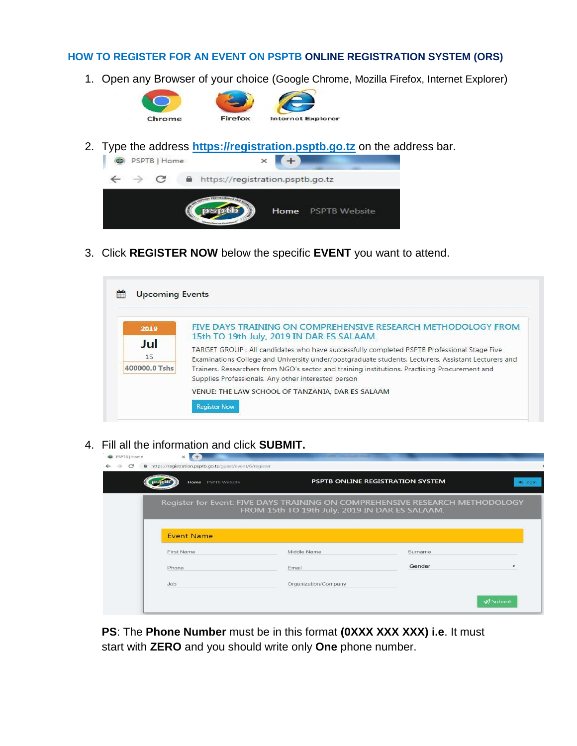## **HOW TO REGISTER FOR AN EVENT ON PSPTB ONLINE REGISTRATION SYSTEM (ORS)**

1. Open any Browser of your choice (Google Chrome, Mozilla Firefox, Internet Explorer)



2. Type the address **[https://registration.psptb.go.tz](https://registration.psptb.go.tz/)** on the address bar.



3. Click **REGISTER NOW** below the specific **EVENT** you want to attend.

| FIVE DAYS TRAINING ON COMPREHENSIVE RESEARCH METHODOLOGY FROM<br>2019<br>15th TO 19th July, 2019 IN DAR ES SALAAM. |  |
|--------------------------------------------------------------------------------------------------------------------|--|
|                                                                                                                    |  |
| Jul                                                                                                                |  |
| TARGET GROUP : All candidates who have successfully completed PSPTB Professional Stage Five                        |  |
| 15<br>Examinations College and University under/postgraduate students, Lecturers, Assistant Lecturers and          |  |
| 400000.0 Tshs<br>Trainers. Researchers from NGO's sector and training institutions. Practising Procurement and     |  |
| Supplies Professionals. Any other interested person                                                                |  |
| VENUE: THE LAW SCHOOL OF TANZANIA, DAR ES SALAAM                                                                   |  |

4. Fill all the information and click **SUBMIT.**

| $+$<br>$\times$              |                      |                                                         |                                                                                                                                                                    |
|------------------------------|----------------------|---------------------------------------------------------|--------------------------------------------------------------------------------------------------------------------------------------------------------------------|
| <b>PSPTB Website</b><br>Home |                      |                                                         | D Login                                                                                                                                                            |
|                              |                      |                                                         |                                                                                                                                                                    |
| <b>Event Name</b>            |                      |                                                         |                                                                                                                                                                    |
| <b>First Name</b>            | Middle Name          | Surname                                                 |                                                                                                                                                                    |
| Phone                        | Email                | Gender                                                  |                                                                                                                                                                    |
| Job                          | Organization/Company |                                                         |                                                                                                                                                                    |
|                              |                      |                                                         | <b></b> Submit                                                                                                                                                     |
|                              |                      | https://registration.psptb.go.tz/guest/event/6/register | PSPTB ONLINE REGISTRATION SYSTEM<br>Register for Event: FIVE DAYS TRAINING ON COMPREHENSIVE RESEARCH METHODOLOGY<br>FROM 15th TO 19th July, 2019 IN DAR ES SALAAM. |

**PS**: The **Phone Number** must be in this format **(0XXX XXX XXX) i.e**. It must start with **ZERO** and you should write only **One** phone number.